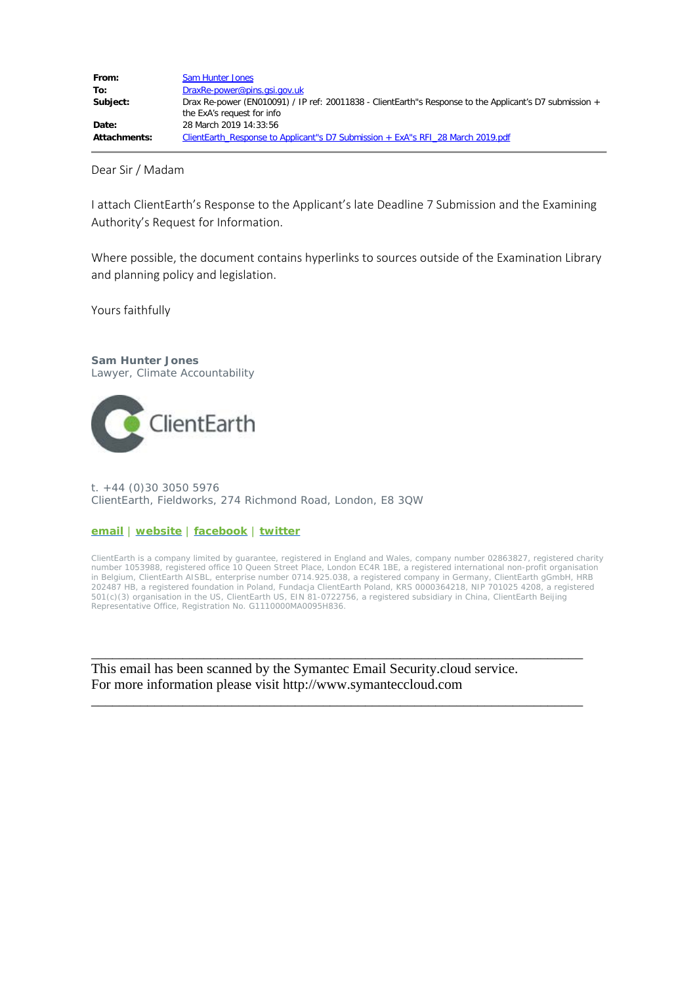| From:        | <b>Sam Hunter Jones</b>                                                                                                               |
|--------------|---------------------------------------------------------------------------------------------------------------------------------------|
| To:          | DraxRe-power@pins.gsi.gov.uk                                                                                                          |
| Subject:     | Drax Re-power (EN010091) / IP ref: 20011838 - ClientEarth"s Response to the Applicant's D7 submission +<br>the ExA's request for info |
| Date:        | 28 March 2019 14:33:56                                                                                                                |
| Attachments: | ClientEarth Response to Applicant 's D7 Submission + ExA 's RFI 28 March 2019.pdf                                                     |

Dear Sir / Madam

I attach ClientEarth's Response to the Applicant's late Deadline 7 Submission and the Examining Authority's Request for Information.

Where possible, the document contains hyperlinks to sources outside of the Examination Library and planning policy and legislation.

Yours faithfully

**Sam Hunter Jones**

Lawyer, Climate Accountability



t. +44 (0)30 3050 5976 ClientEarth, Fieldworks, 274 Richmond Road, London, E8 3QW

## **[email](mailto:shunterjones@clientearth.org)** | **[website](https://urldefense.proofpoint.com/v2/url?u=http-3A__www.clientearth.org_&d=DwMF-g&c=qQy84HidZKks1AzH1tNzCKFxsPy43_OhvfM1avj4FME&r=cl0AJkS7NIyt_8L2kOKeyyHNafUGGsjCJN91CVUFZwk&m=vZrkaebKi_cBsoRtpmxF0CvxM9fWocYBoK7j2IxrcNI&s=8Y7YCI2ELfosnHYyPBFtGVV5XEs61g_q1d9obbm18aY&e=)** | **[facebook](https://urldefense.proofpoint.com/v2/url?u=https-3A__www.facebook.com_ClientEarth&d=DwMF-g&c=qQy84HidZKks1AzH1tNzCKFxsPy43_OhvfM1avj4FME&r=cl0AJkS7NIyt_8L2kOKeyyHNafUGGsjCJN91CVUFZwk&m=vZrkaebKi_cBsoRtpmxF0CvxM9fWocYBoK7j2IxrcNI&s=jJbbjZaZH-AeCHXEws60jl-8aEnI2G8PR5c2qbZbSHE&e=)** | **[twitter](https://urldefense.proofpoint.com/v2/url?u=https-3A__twitter.com_ClientEarth&d=DwMF-g&c=qQy84HidZKks1AzH1tNzCKFxsPy43_OhvfM1avj4FME&r=cl0AJkS7NIyt_8L2kOKeyyHNafUGGsjCJN91CVUFZwk&m=vZrkaebKi_cBsoRtpmxF0CvxM9fWocYBoK7j2IxrcNI&s=dAWHFHEiK1rfeNyAsaR9eDoogvsXTMroNamiRPhO4SY&e=)**

ClientEarth is a company limited by guarantee, registered in England and Wales, company number 02863827, registered charity number 1053988, registered office 10 Queen Street Place, London EC4R 1BE, a registered international non-profit organisation in Belgium, ClientEarth AISBL, enterprise number 0714.925.038, a registered company in Germany, ClientEarth gGmbH, HRB 202487 HB, a registered foundation in Poland, Fundacja ClientEarth Poland, KRS 0000364218, NIP 701025 4208, a registered 501(c)(3) organisation in the US, ClientEarth US, EIN 81-0722756, a registered subsidiary in China, ClientEarth Beijing Representative Office, Registration No. G1110000MA0095H836.

\_\_\_\_\_\_\_\_\_\_\_\_\_\_\_\_\_\_\_\_\_\_\_\_\_\_\_\_\_\_\_\_\_\_\_\_\_\_\_\_\_\_\_\_\_\_\_\_\_\_\_\_\_\_\_\_\_\_\_\_\_\_\_\_\_\_\_\_\_\_

\_\_\_\_\_\_\_\_\_\_\_\_\_\_\_\_\_\_\_\_\_\_\_\_\_\_\_\_\_\_\_\_\_\_\_\_\_\_\_\_\_\_\_\_\_\_\_\_\_\_\_\_\_\_\_\_\_\_\_\_\_\_\_\_\_\_\_\_\_\_

This email has been scanned by the Symantec Email Security.cloud service. For more information please visit http://www.symanteccloud.com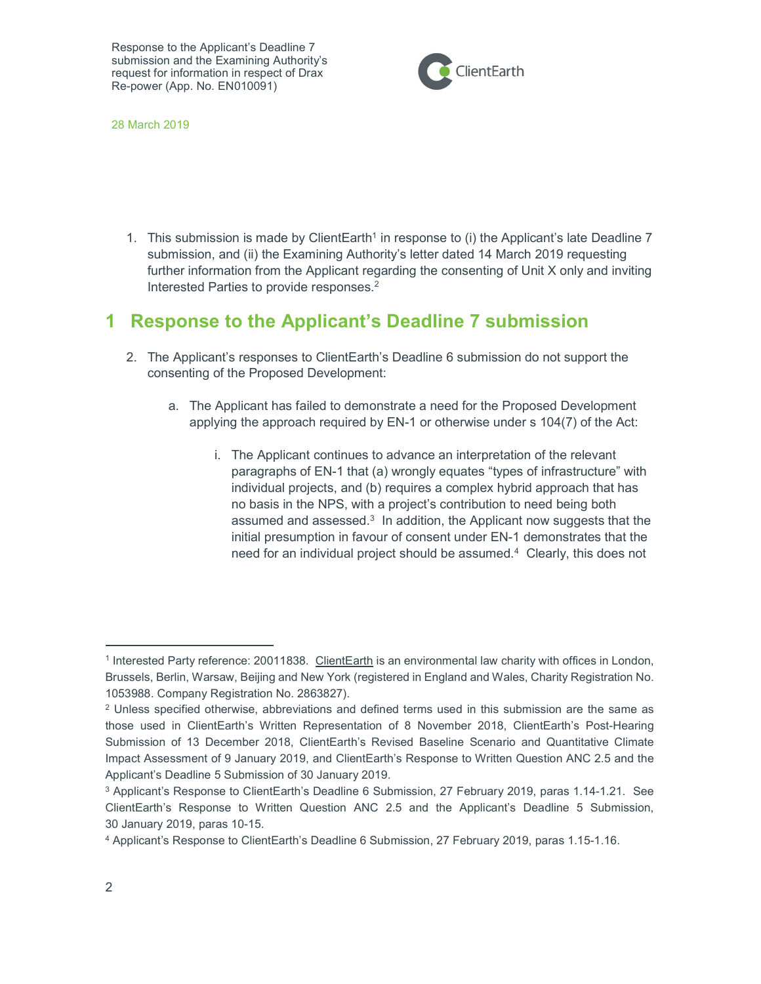

28 March 2019

1. This submission is made by ClientEarth<sup>1</sup> in response to (i) the Applicant's late Deadline 7 submission, and (ii) the Examining Authority's letter dated 14 March 2019 requesting further information from the Applicant regarding the consenting of Unit X only and inviting Interested Parties to provide responses.<sup>2</sup>

## 1 Response to the Applicant's Deadline 7 submission

- 2. The Applicant's responses to ClientEarth's Deadline 6 submission do not support the consenting of the Proposed Development:
	- a. The Applicant has failed to demonstrate a need for the Proposed Development applying the approach required by EN-1 or otherwise under s 104(7) of the Act:
		- i. The Applicant continues to advance an interpretation of the relevant paragraphs of EN-1 that (a) wrongly equates "types of infrastructure" with individual projects, and (b) requires a complex hybrid approach that has no basis in the NPS, with a project's contribution to need being both assumed and assessed.<sup>3</sup> In addition, the Applicant now suggests that the initial presumption in favour of consent under EN-1 demonstrates that the need for an individual project should be assumed.<sup>4</sup> Clearly, this does not

<sup>&</sup>lt;sup>1</sup> Interested Party reference: 20011838. ClientEarth is an environmental law charity with offices in London, Brussels, Berlin, Warsaw, Beijing and New York (registered in England and Wales, Charity Registration No. 1053988. Company Registration No. 2863827).

 $2$  Unless specified otherwise, abbreviations and defined terms used in this submission are the same as those used in ClientEarth's Written Representation of 8 November 2018, ClientEarth's Post-Hearing Submission of 13 December 2018, ClientEarth's Revised Baseline Scenario and Quantitative Climate Impact Assessment of 9 January 2019, and ClientEarth's Response to Written Question ANC 2.5 and the Applicant's Deadline 5 Submission of 30 January 2019.

<sup>3</sup> Applicant's Response to ClientEarth's Deadline 6 Submission, 27 February 2019, paras 1.14-1.21. See ClientEarth's Response to Written Question ANC 2.5 and the Applicant's Deadline 5 Submission, 30 January 2019, paras 10-15.

<sup>4</sup> Applicant's Response to ClientEarth's Deadline 6 Submission, 27 February 2019, paras 1.15-1.16.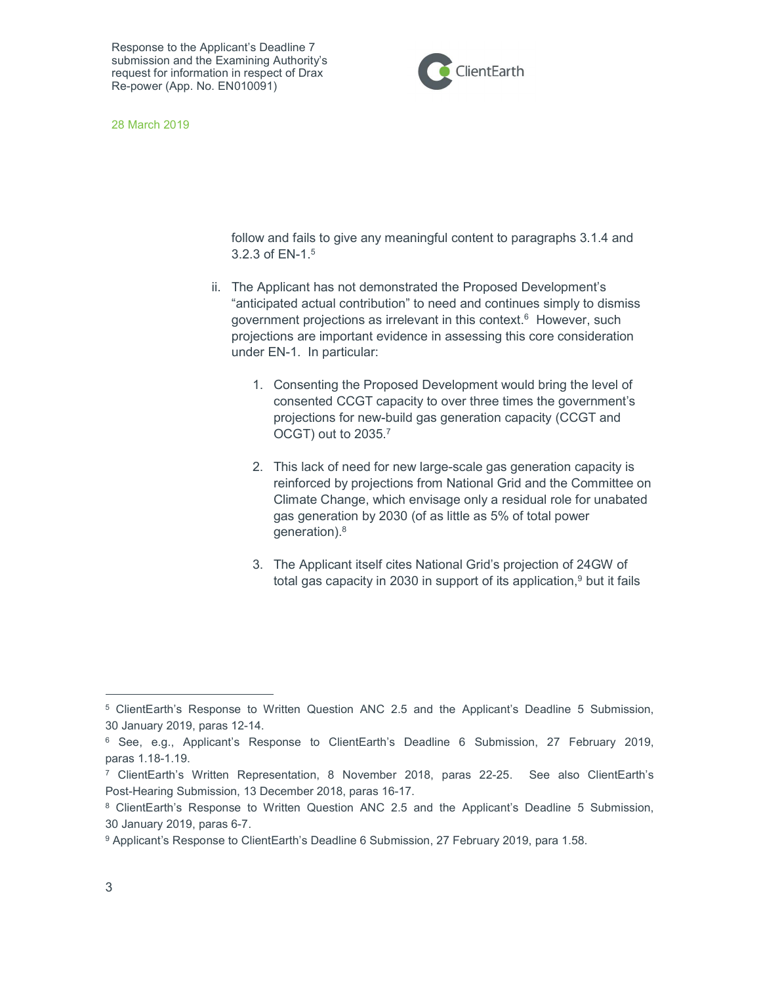

28 March 2019

follow and fails to give any meaningful content to paragraphs 3.1.4 and 3.2.3 of EN-1.<sup>5</sup>

- ii. The Applicant has not demonstrated the Proposed Development's "anticipated actual contribution" to need and continues simply to dismiss government projections as irrelevant in this context.<sup>6</sup> However, such projections are important evidence in assessing this core consideration under EN-1. In particular:
	- 1. Consenting the Proposed Development would bring the level of consented CCGT capacity to over three times the government's projections for new-build gas generation capacity (CCGT and OCGT) out to 2035.<sup>7</sup>
	- 2. This lack of need for new large-scale gas generation capacity is reinforced by projections from National Grid and the Committee on Climate Change, which envisage only a residual role for unabated gas generation by 2030 (of as little as 5% of total power generation).<sup>8</sup>
	- 3. The Applicant itself cites National Grid's projection of 24GW of total gas capacity in 2030 in support of its application, $9$  but it fails

<sup>&</sup>lt;sup>5</sup> ClientEarth's Response to Written Question ANC 2.5 and the Applicant's Deadline 5 Submission, 30 January 2019, paras 12-14.

<sup>6</sup> See, e.g., Applicant's Response to ClientEarth's Deadline 6 Submission, 27 February 2019, paras 1.18-1.19.

<sup>7</sup> ClientEarth's Written Representation, 8 November 2018, paras 22-25. See also ClientEarth's Post-Hearing Submission, 13 December 2018, paras 16-17.

<sup>&</sup>lt;sup>8</sup> ClientEarth's Response to Written Question ANC 2.5 and the Applicant's Deadline 5 Submission, 30 January 2019, paras 6-7.

<sup>&</sup>lt;sup>9</sup> Applicant's Response to ClientEarth's Deadline 6 Submission, 27 February 2019, para 1.58.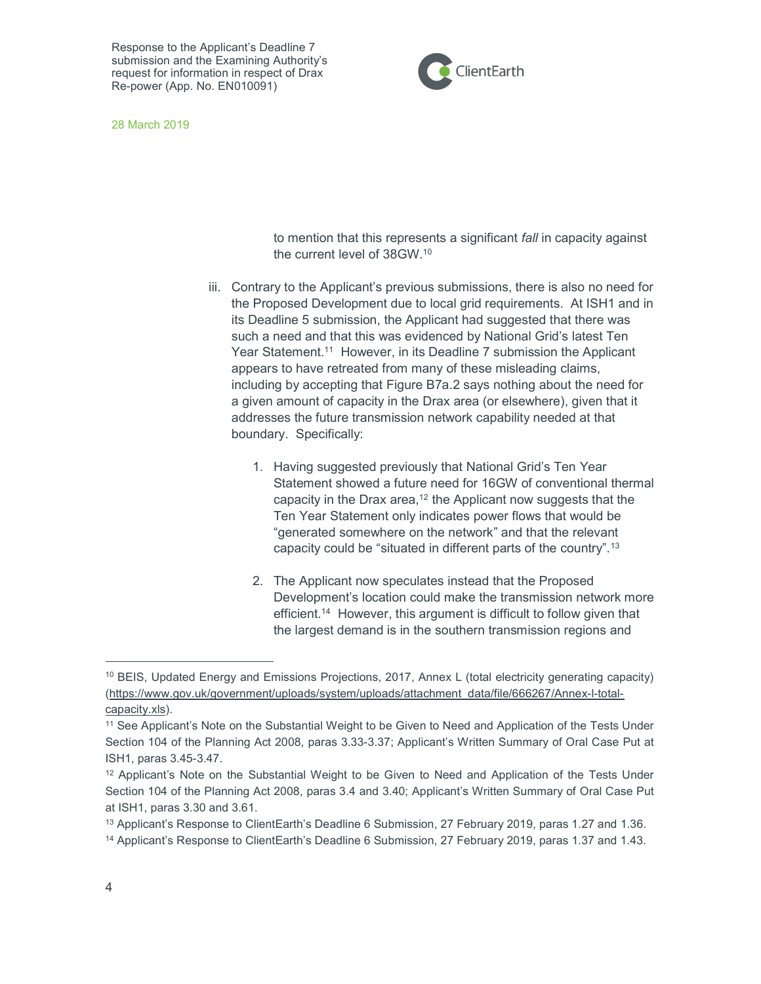

28 March 2019

to mention that this represents a significant fall in capacity against the current level of 38GW.<sup>10</sup>

- iii. Contrary to the Applicant's previous submissions, there is also no need for the Proposed Development due to local grid requirements. At ISH1 and in its Deadline 5 submission, the Applicant had suggested that there was such a need and that this was evidenced by National Grid's latest Ten Year Statement.<sup>11</sup> However, in its Deadline 7 submission the Applicant appears to have retreated from many of these misleading claims, including by accepting that Figure B7a.2 says nothing about the need for a given amount of capacity in the Drax area (or elsewhere), given that it addresses the future transmission network capability needed at that boundary. Specifically:
	- 1. Having suggested previously that National Grid's Ten Year Statement showed a future need for 16GW of conventional thermal capacity in the Drax area,<sup>12</sup> the Applicant now suggests that the Ten Year Statement only indicates power flows that would be "generated somewhere on the network" and that the relevant capacity could be "situated in different parts of the country".<sup>13</sup>
	- 2. The Applicant now speculates instead that the Proposed Development's location could make the transmission network more efficient.<sup>14</sup> However, this argument is difficult to follow given that the largest demand is in the southern transmission regions and

<sup>&</sup>lt;sup>10</sup> BEIS, Updated Energy and Emissions Projections, 2017, Annex L (total electricity generating capacity) (https://www.gov.uk/government/uploads/system/uploads/attachment\_data/file/666267/Annex-l-totalcapacity.xls).

<sup>11</sup> See Applicant's Note on the Substantial Weight to be Given to Need and Application of the Tests Under Section 104 of the Planning Act 2008, paras 3.33-3.37; Applicant's Written Summary of Oral Case Put at ISH1, paras 3.45-3.47.

<sup>12</sup> Applicant's Note on the Substantial Weight to be Given to Need and Application of the Tests Under Section 104 of the Planning Act 2008, paras 3.4 and 3.40; Applicant's Written Summary of Oral Case Put at ISH1, paras 3.30 and 3.61.

<sup>13</sup> Applicant's Response to ClientEarth's Deadline 6 Submission, 27 February 2019, paras 1.27 and 1.36.

<sup>14</sup> Applicant's Response to ClientEarth's Deadline 6 Submission, 27 February 2019, paras 1.37 and 1.43.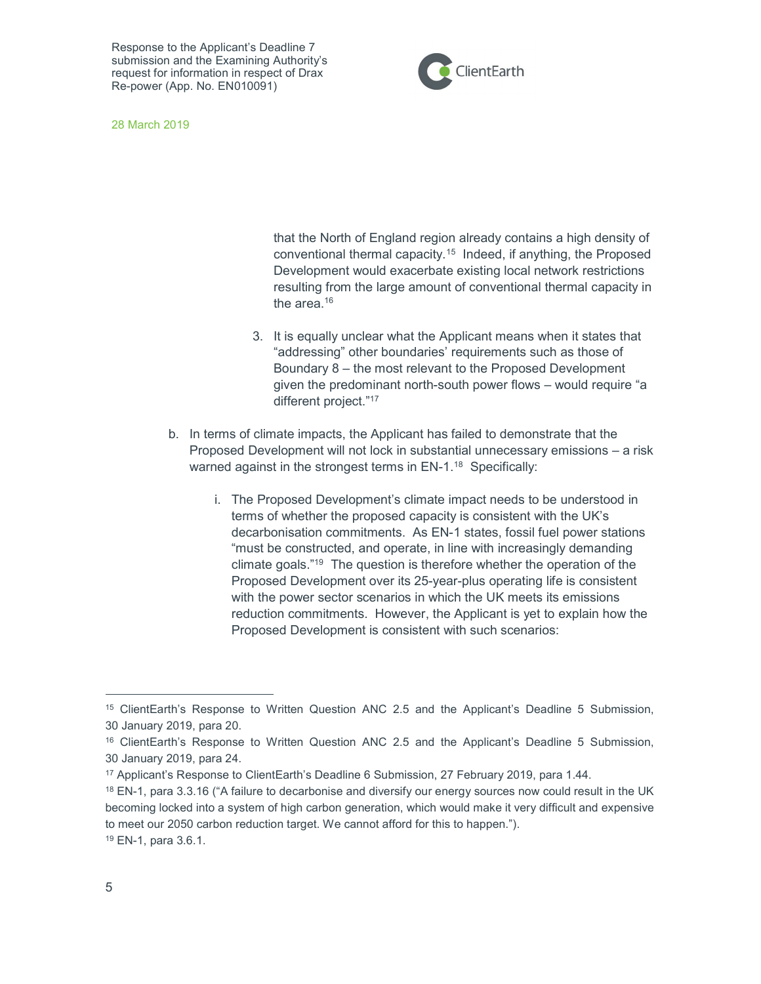

28 March 2019

that the North of England region already contains a high density of conventional thermal capacity.<sup>15</sup> Indeed, if anything, the Proposed Development would exacerbate existing local network restrictions resulting from the large amount of conventional thermal capacity in the area.<sup>16</sup>

- 3. It is equally unclear what the Applicant means when it states that "addressing" other boundaries' requirements such as those of Boundary 8 – the most relevant to the Proposed Development given the predominant north-south power flows – would require "a different project."<sup>17</sup>
- b. In terms of climate impacts, the Applicant has failed to demonstrate that the Proposed Development will not lock in substantial unnecessary emissions – a risk warned against in the strongest terms in EN-1.<sup>18</sup> Specifically:
	- i. The Proposed Development's climate impact needs to be understood in terms of whether the proposed capacity is consistent with the UK's decarbonisation commitments. As EN-1 states, fossil fuel power stations "must be constructed, and operate, in line with increasingly demanding climate goals."<sup>19</sup> The question is therefore whether the operation of the Proposed Development over its 25-year-plus operating life is consistent with the power sector scenarios in which the UK meets its emissions reduction commitments. However, the Applicant is yet to explain how the Proposed Development is consistent with such scenarios:

<sup>15</sup> ClientEarth's Response to Written Question ANC 2.5 and the Applicant's Deadline 5 Submission, 30 January 2019, para 20.

<sup>16</sup> ClientEarth's Response to Written Question ANC 2.5 and the Applicant's Deadline 5 Submission, 30 January 2019, para 24.

<sup>17</sup> Applicant's Response to ClientEarth's Deadline 6 Submission, 27 February 2019, para 1.44.

<sup>&</sup>lt;sup>18</sup> EN-1, para 3.3.16 ("A failure to decarbonise and diversify our energy sources now could result in the UK becoming locked into a system of high carbon generation, which would make it very difficult and expensive to meet our 2050 carbon reduction target. We cannot afford for this to happen."). 19 EN-1, para 3.6.1.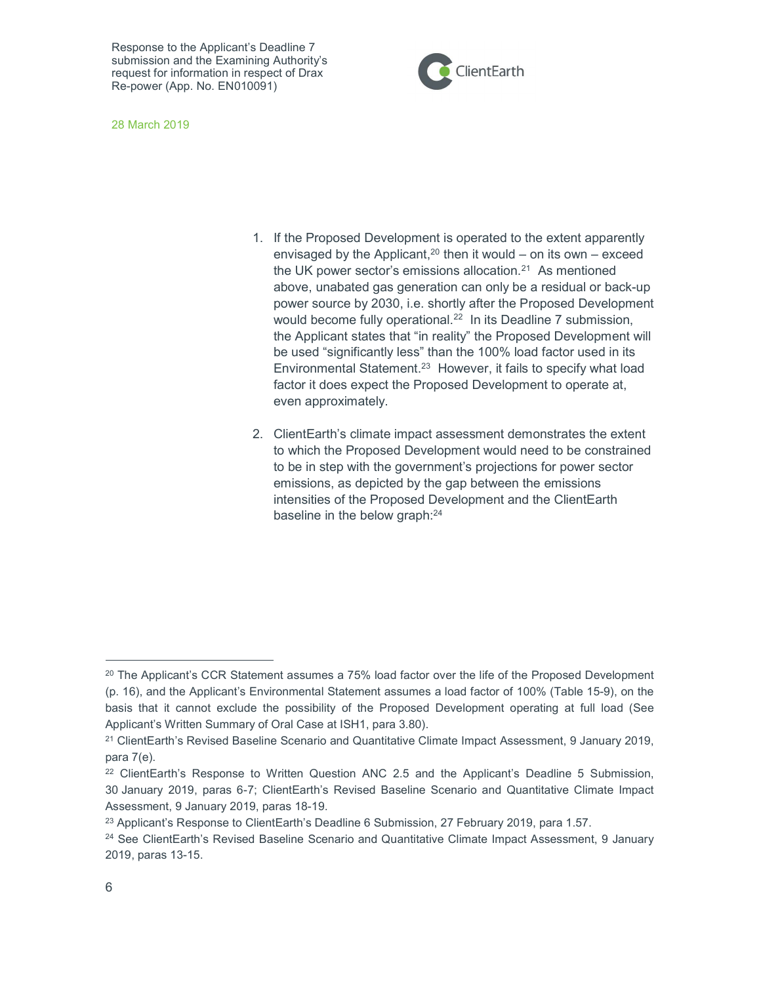



- 1. If the Proposed Development is operated to the extent apparently envisaged by the Applicant,<sup>20</sup> then it would – on its own – exceed the UK power sector's emissions allocation.<sup>21</sup> As mentioned above, unabated gas generation can only be a residual or back-up power source by 2030, i.e. shortly after the Proposed Development would become fully operational.<sup>22</sup> In its Deadline 7 submission, the Applicant states that "in reality" the Proposed Development will be used "significantly less" than the 100% load factor used in its Environmental Statement.<sup>23</sup> However, it fails to specify what load factor it does expect the Proposed Development to operate at, even approximately.
- 2. ClientEarth's climate impact assessment demonstrates the extent to which the Proposed Development would need to be constrained to be in step with the government's projections for power sector emissions, as depicted by the gap between the emissions intensities of the Proposed Development and the ClientEarth baseline in the below graph:<sup>24</sup>

 $20$  The Applicant's CCR Statement assumes a 75% load factor over the life of the Proposed Development (p. 16), and the Applicant's Environmental Statement assumes a load factor of 100% (Table 15-9), on the basis that it cannot exclude the possibility of the Proposed Development operating at full load (See Applicant's Written Summary of Oral Case at ISH1, para 3.80).

<sup>&</sup>lt;sup>21</sup> ClientEarth's Revised Baseline Scenario and Quantitative Climate Impact Assessment, 9 January 2019, para 7(e).

<sup>22</sup> ClientEarth's Response to Written Question ANC 2.5 and the Applicant's Deadline 5 Submission, 30 January 2019, paras 6-7; ClientEarth's Revised Baseline Scenario and Quantitative Climate Impact Assessment, 9 January 2019, paras 18-19.

<sup>&</sup>lt;sup>23</sup> Applicant's Response to ClientEarth's Deadline 6 Submission, 27 February 2019, para 1.57.

<sup>&</sup>lt;sup>24</sup> See ClientEarth's Revised Baseline Scenario and Quantitative Climate Impact Assessment, 9 January 2019, paras 13-15.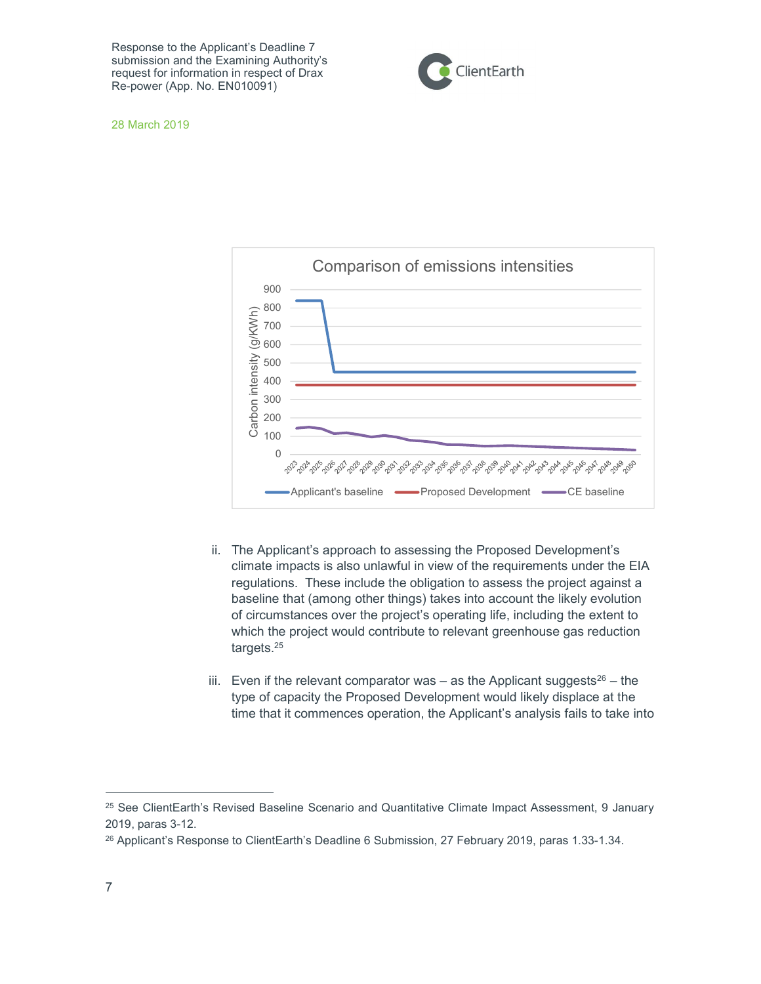

28 March 2019



- ii. The Applicant's approach to assessing the Proposed Development's climate impacts is also unlawful in view of the requirements under the EIA regulations. These include the obligation to assess the project against a baseline that (among other things) takes into account the likely evolution of circumstances over the project's operating life, including the extent to which the project would contribute to relevant greenhouse gas reduction targets.<sup>25</sup>
- iii. Even if the relevant comparator was as the Applicant suggests<sup>26</sup> the type of capacity the Proposed Development would likely displace at the time that it commences operation, the Applicant's analysis fails to take into

<sup>&</sup>lt;sup>25</sup> See ClientEarth's Revised Baseline Scenario and Quantitative Climate Impact Assessment, 9 January 2019, paras 3-12.

<sup>&</sup>lt;sup>26</sup> Applicant's Response to ClientEarth's Deadline 6 Submission, 27 February 2019, paras 1.33-1.34.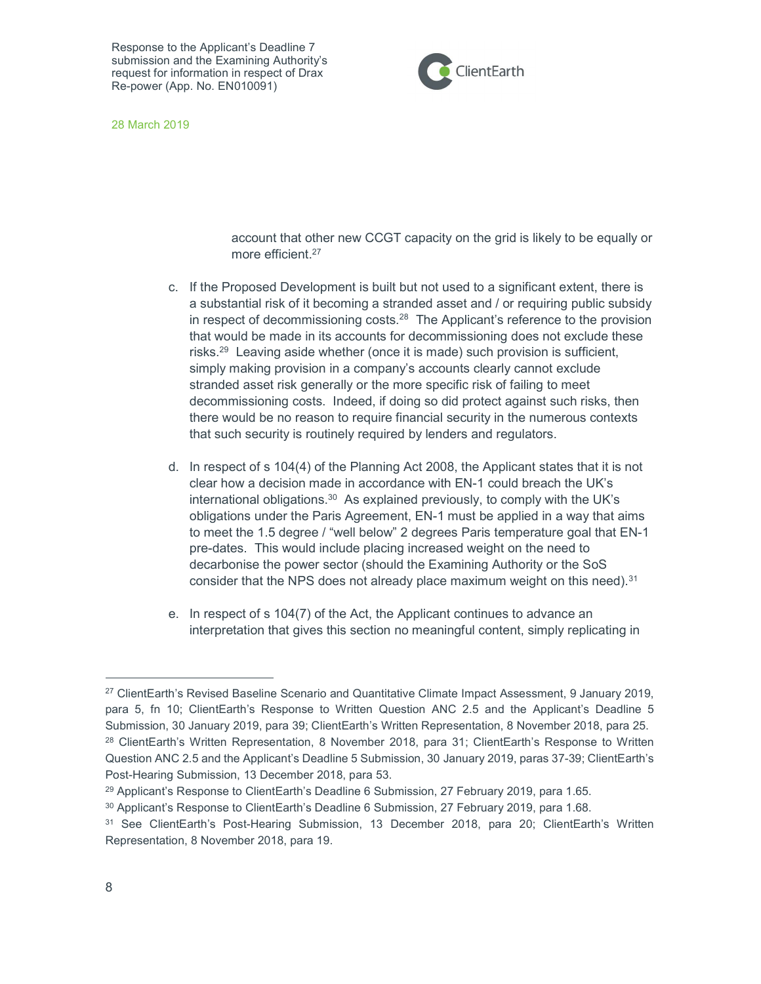

28 March 2019

account that other new CCGT capacity on the grid is likely to be equally or more efficient.<sup>27</sup>

- c. If the Proposed Development is built but not used to a significant extent, there is a substantial risk of it becoming a stranded asset and / or requiring public subsidy in respect of decommissioning costs.<sup>28</sup> The Applicant's reference to the provision that would be made in its accounts for decommissioning does not exclude these risks.<sup>29</sup> Leaving aside whether (once it is made) such provision is sufficient, simply making provision in a company's accounts clearly cannot exclude stranded asset risk generally or the more specific risk of failing to meet decommissioning costs. Indeed, if doing so did protect against such risks, then there would be no reason to require financial security in the numerous contexts that such security is routinely required by lenders and regulators.
- d. In respect of s 104(4) of the Planning Act 2008, the Applicant states that it is not clear how a decision made in accordance with EN-1 could breach the UK's international obligations. $30$  As explained previously, to comply with the UK's obligations under the Paris Agreement, EN-1 must be applied in a way that aims to meet the 1.5 degree / "well below" 2 degrees Paris temperature goal that EN-1 pre-dates. This would include placing increased weight on the need to decarbonise the power sector (should the Examining Authority or the SoS consider that the NPS does not already place maximum weight on this need). $31$
- e. In respect of s 104(7) of the Act, the Applicant continues to advance an interpretation that gives this section no meaningful content, simply replicating in

<sup>27</sup> ClientEarth's Revised Baseline Scenario and Quantitative Climate Impact Assessment, 9 January 2019, para 5, fn 10; ClientEarth's Response to Written Question ANC 2.5 and the Applicant's Deadline 5 Submission, 30 January 2019, para 39; ClientEarth's Written Representation, 8 November 2018, para 25. <sup>28</sup> ClientEarth's Written Representation, 8 November 2018, para 31; ClientEarth's Response to Written Question ANC 2.5 and the Applicant's Deadline 5 Submission, 30 January 2019, paras 37-39; ClientEarth's Post-Hearing Submission, 13 December 2018, para 53.

 $29$  Applicant's Response to ClientEarth's Deadline 6 Submission, 27 February 2019, para 1.65.

<sup>30</sup> Applicant's Response to ClientEarth's Deadline 6 Submission, 27 February 2019, para 1.68.

<sup>31</sup> See ClientEarth's Post-Hearing Submission, 13 December 2018, para 20; ClientEarth's Written Representation, 8 November 2018, para 19.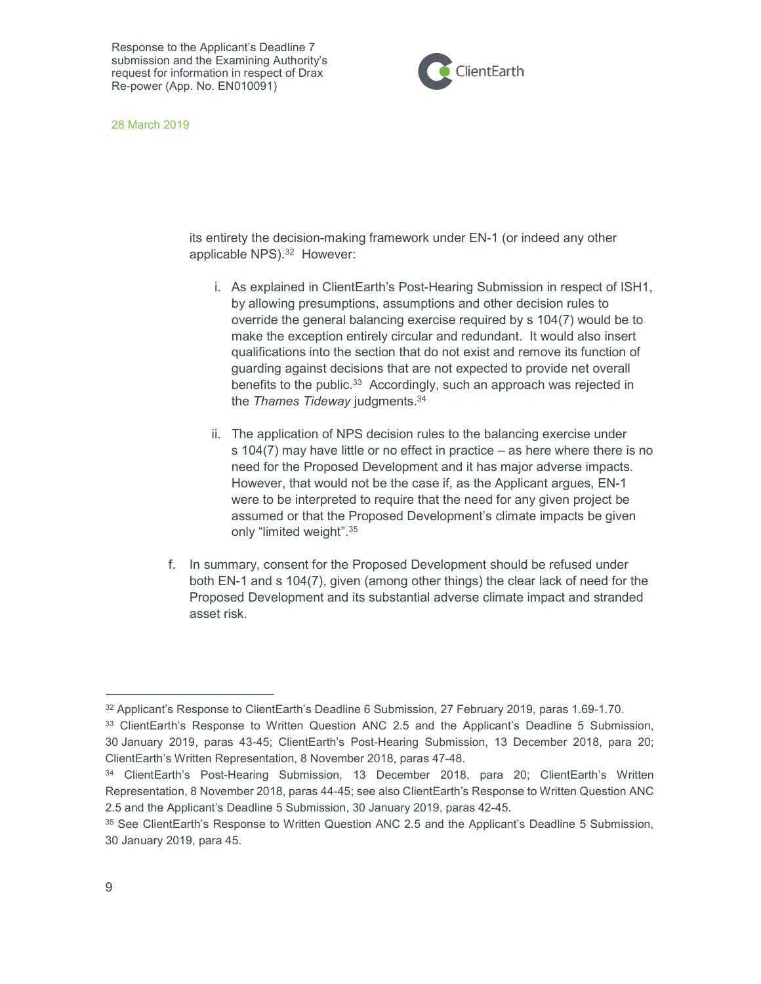

28 March 2019

its entirety the decision-making framework under EN-1 (or indeed any other applicable NPS).<sup>32</sup> However:

- i. As explained in ClientEarth's Post-Hearing Submission in respect of ISH1, by allowing presumptions, assumptions and other decision rules to override the general balancing exercise required by s 104(7) would be to make the exception entirely circular and redundant. It would also insert qualifications into the section that do not exist and remove its function of guarding against decisions that are not expected to provide net overall benefits to the public.<sup>33</sup> Accordingly, such an approach was rejected in the *Thames Tideway* judgments.<sup>34</sup>
- ii. The application of NPS decision rules to the balancing exercise under s 104(7) may have little or no effect in practice – as here where there is no need for the Proposed Development and it has major adverse impacts. However, that would not be the case if, as the Applicant argues, EN-1 were to be interpreted to require that the need for any given project be assumed or that the Proposed Development's climate impacts be given only "limited weight".<sup>35</sup>
- f. In summary, consent for the Proposed Development should be refused under both EN-1 and s 104(7), given (among other things) the clear lack of need for the Proposed Development and its substantial adverse climate impact and stranded asset risk.

<sup>&</sup>lt;sup>32</sup> Applicant's Response to ClientEarth's Deadline 6 Submission, 27 February 2019, paras 1.69-1.70.

<sup>33</sup> ClientEarth's Response to Written Question ANC 2.5 and the Applicant's Deadline 5 Submission, 30 January 2019, paras 43-45; ClientEarth's Post-Hearing Submission, 13 December 2018, para 20; ClientEarth's Written Representation, 8 November 2018, paras 47-48.

<sup>34</sup> ClientEarth's Post-Hearing Submission, 13 December 2018, para 20; ClientEarth's Written Representation, 8 November 2018, paras 44-45; see also ClientEarth's Response to Written Question ANC 2.5 and the Applicant's Deadline 5 Submission, 30 January 2019, paras 42-45.

<sup>35</sup> See ClientEarth's Response to Written Question ANC 2.5 and the Applicant's Deadline 5 Submission, 30 January 2019, para 45.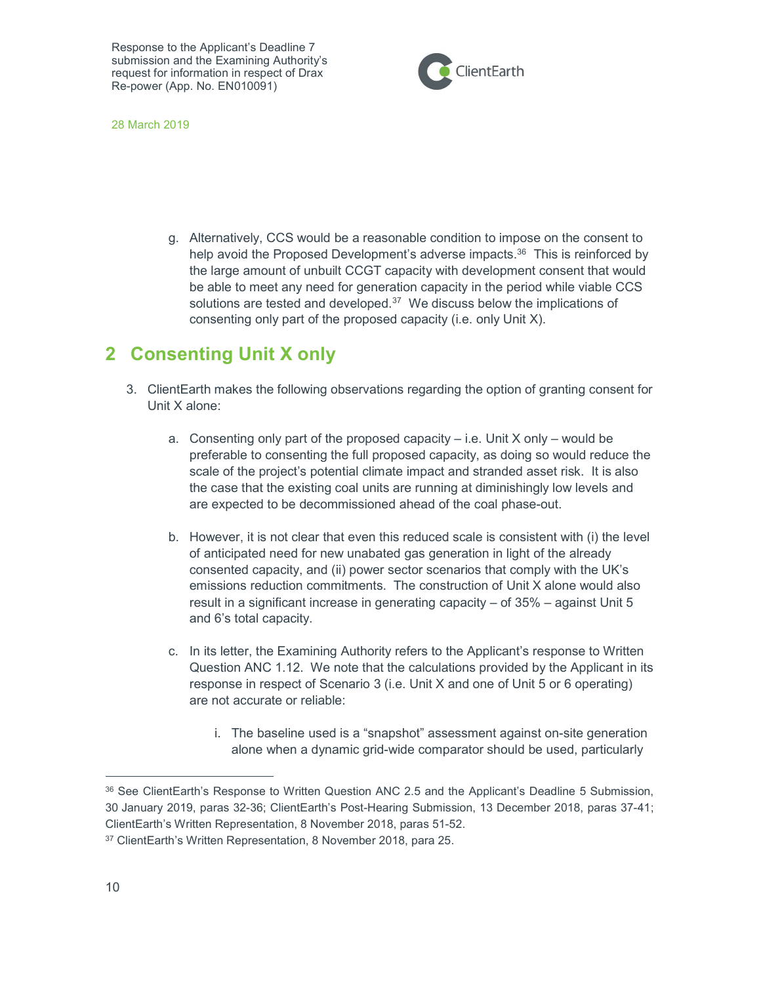

28 March 2019

g. Alternatively, CCS would be a reasonable condition to impose on the consent to help avoid the Proposed Development's adverse impacts.<sup>36</sup> This is reinforced by the large amount of unbuilt CCGT capacity with development consent that would be able to meet any need for generation capacity in the period while viable CCS solutions are tested and developed.<sup>37</sup> We discuss below the implications of consenting only part of the proposed capacity (i.e. only Unit X).

## 2 Consenting Unit X only

- 3. ClientEarth makes the following observations regarding the option of granting consent for Unit X alone:
	- a. Consenting only part of the proposed capacity  $-$  i.e. Unit X only  $-$  would be preferable to consenting the full proposed capacity, as doing so would reduce the scale of the project's potential climate impact and stranded asset risk. It is also the case that the existing coal units are running at diminishingly low levels and are expected to be decommissioned ahead of the coal phase-out.
	- b. However, it is not clear that even this reduced scale is consistent with (i) the level of anticipated need for new unabated gas generation in light of the already consented capacity, and (ii) power sector scenarios that comply with the UK's emissions reduction commitments. The construction of Unit X alone would also result in a significant increase in generating capacity – of 35% – against Unit 5 and 6's total capacity.
	- c. In its letter, the Examining Authority refers to the Applicant's response to Written Question ANC 1.12. We note that the calculations provided by the Applicant in its response in respect of Scenario 3 (i.e. Unit X and one of Unit 5 or 6 operating) are not accurate or reliable:
		- i. The baseline used is a "snapshot" assessment against on-site generation alone when a dynamic grid-wide comparator should be used, particularly

<sup>36</sup> See ClientEarth's Response to Written Question ANC 2.5 and the Applicant's Deadline 5 Submission, 30 January 2019, paras 32-36; ClientEarth's Post-Hearing Submission, 13 December 2018, paras 37-41; ClientEarth's Written Representation, 8 November 2018, paras 51-52.

<sup>37</sup> ClientEarth's Written Representation, 8 November 2018, para 25.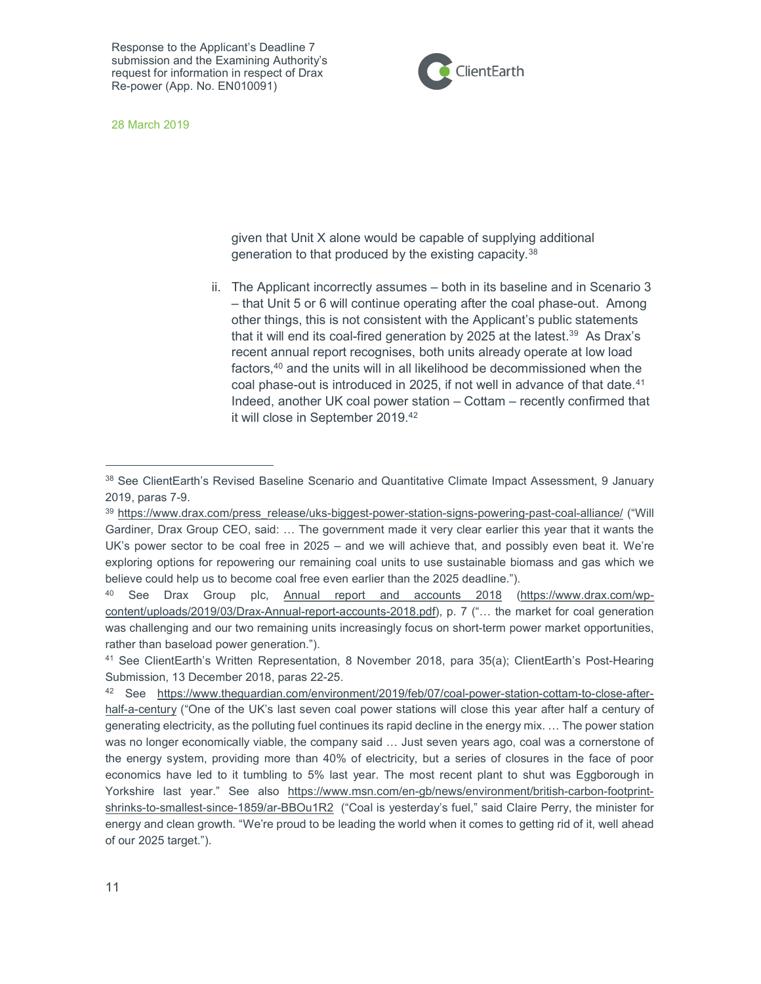

28 March 2019

given that Unit X alone would be capable of supplying additional generation to that produced by the existing capacity.<sup>38</sup>

ii. The Applicant incorrectly assumes – both in its baseline and in Scenario 3 – that Unit 5 or 6 will continue operating after the coal phase-out. Among other things, this is not consistent with the Applicant's public statements that it will end its coal-fired generation by 2025 at the latest.<sup>39</sup> As Drax's recent annual report recognises, both units already operate at low load factors,<sup>40</sup> and the units will in all likelihood be decommissioned when the coal phase-out is introduced in 2025, if not well in advance of that date.<sup>41</sup> Indeed, another UK coal power station – Cottam – recently confirmed that it will close in September 2019.<sup>42</sup>

<sup>38</sup> See ClientEarth's Revised Baseline Scenario and Quantitative Climate Impact Assessment, 9 January 2019, paras 7-9.

<sup>&</sup>lt;sup>39</sup> https://www.drax.com/press\_release/uks-biggest-power-station-signs-powering-past-coal-alliance/ ("Will Gardiner, Drax Group CEO, said: … The government made it very clear earlier this year that it wants the UK's power sector to be coal free in 2025 – and we will achieve that, and possibly even beat it. We're exploring options for repowering our remaining coal units to use sustainable biomass and gas which we believe could help us to become coal free even earlier than the 2025 deadline.").

<sup>40</sup> See Drax Group plc, Annual report and accounts 2018 (https://www.drax.com/wpcontent/uploads/2019/03/Drax-Annual-report-accounts-2018.pdf), p. 7 ("… the market for coal generation was challenging and our two remaining units increasingly focus on short-term power market opportunities, rather than baseload power generation.").

<sup>41</sup> See ClientEarth's Written Representation, 8 November 2018, para 35(a); ClientEarth's Post-Hearing Submission, 13 December 2018, paras 22-25.

<sup>42</sup> See https://www.theguardian.com/environment/2019/feb/07/coal-power-station-cottam-to-close-afterhalf-a-century ("One of the UK's last seven coal power stations will close this year after half a century of generating electricity, as the polluting fuel continues its rapid decline in the energy mix. … The power station was no longer economically viable, the company said … Just seven years ago, coal was a cornerstone of the energy system, providing more than 40% of electricity, but a series of closures in the face of poor economics have led to it tumbling to 5% last year. The most recent plant to shut was Eggborough in Yorkshire last year." See also https://www.msn.com/en-gb/news/environment/british-carbon-footprintshrinks-to-smallest-since-1859/ar-BBOu1R2 ("Coal is yesterday's fuel," said Claire Perry, the minister for energy and clean growth. "We're proud to be leading the world when it comes to getting rid of it, well ahead of our 2025 target.").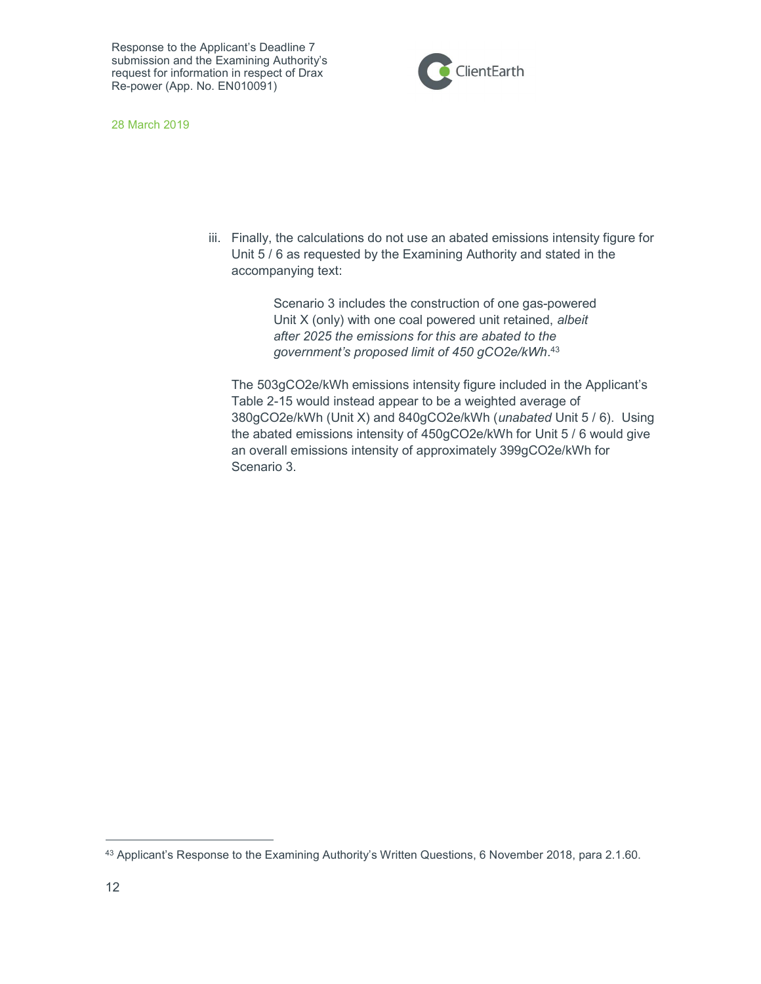

28 March 2019

iii. Finally, the calculations do not use an abated emissions intensity figure for Unit 5 / 6 as requested by the Examining Authority and stated in the accompanying text:

> Scenario 3 includes the construction of one gas-powered Unit X (only) with one coal powered unit retained, albeit after 2025 the emissions for this are abated to the government's proposed limit of 450 gCO2e/kWh.<sup>43</sup>

The 503gCO2e/kWh emissions intensity figure included in the Applicant's Table 2-15 would instead appear to be a weighted average of 380gCO2e/kWh (Unit X) and 840gCO2e/kWh (unabated Unit 5 / 6). Using the abated emissions intensity of 450gCO2e/kWh for Unit 5 / 6 would give an overall emissions intensity of approximately 399gCO2e/kWh for Scenario 3.

<sup>43</sup> Applicant's Response to the Examining Authority's Written Questions, 6 November 2018, para 2.1.60.